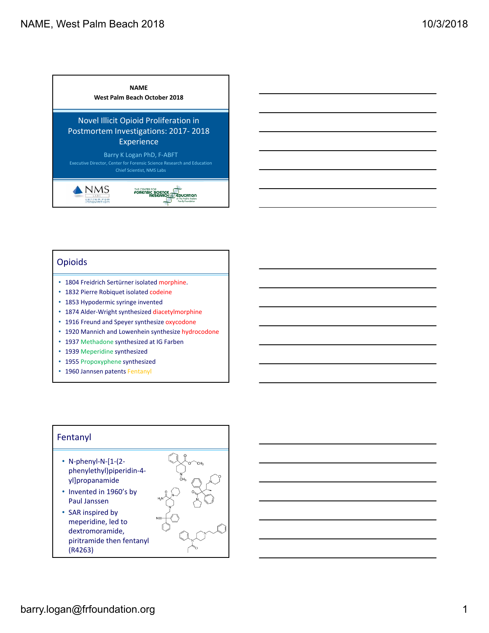



### Opioids

- 1804 Freidrich Sertürner isolated morphine.
- 1832 Pierre Robiquet isolated codeine
- 1853 Hypodermic syringe invented
- 1874 Alder‐Wright synthesized diacetylmorphine
- 1916 Freund and Speyer synthesize oxycodone
- 1920 Mannich and Lowenhein synthesize hydrocodone
- 1937 Methadone synthesized at IG Farben
- 1939 Meperidine synthesized
- 1955 Propoxyphene synthesized
- 1960 Jannsen patents Fentanyl

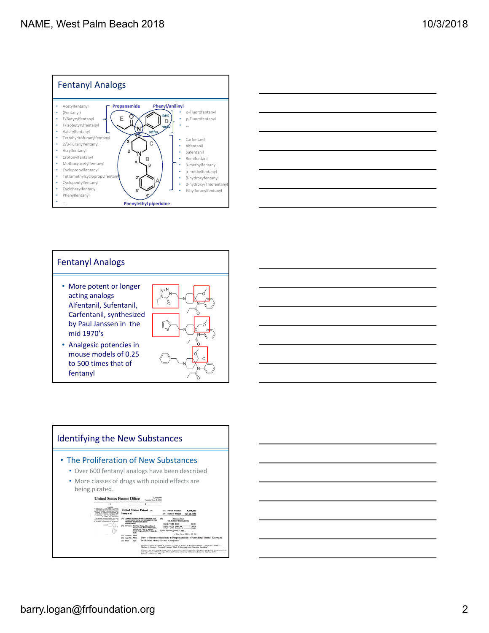







# barry.logan@frfoundation.org 2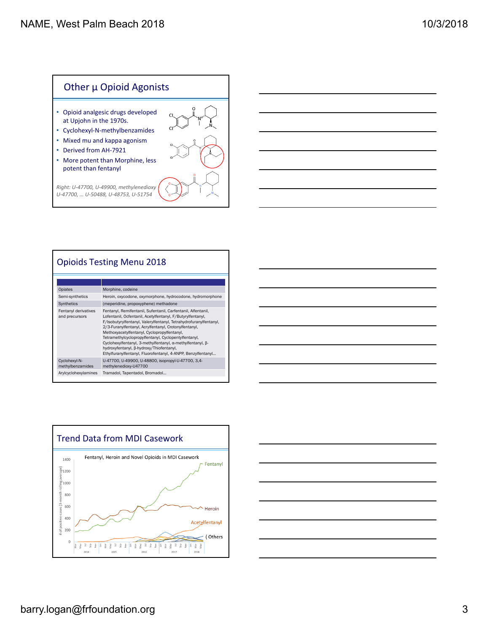



# Opioids Testing Menu 2018

| Opiates                                | Morphine, codeine                                                                                                                                                                                                                                                                                                                                                                                                                                                                                                                         |
|----------------------------------------|-------------------------------------------------------------------------------------------------------------------------------------------------------------------------------------------------------------------------------------------------------------------------------------------------------------------------------------------------------------------------------------------------------------------------------------------------------------------------------------------------------------------------------------------|
| Semi-synthetics                        | Heroin, oxycodone, oxymorphone, hydrocodone, hydromorphone                                                                                                                                                                                                                                                                                                                                                                                                                                                                                |
| Synthetics                             | (meperidine, propoxyphene) methadone                                                                                                                                                                                                                                                                                                                                                                                                                                                                                                      |
| Fentanyl derivatives<br>and precursors | Fentanyl, Remifentanil, Sufentanil, Carfentanil, Alfentanil,<br>Lofentanil, Ocfentanil, Acetylfentanyl, F/Butyrylfentanyl,<br>F/Isobutyrylfentanyl, Valerylfentanyl, Tetrahydrofuranylfentanyl,<br>2/3-Furanylfentanyl, Acrylfentanyl, Crotonylfentanyl,<br>Methoxyacetylfentanyl, Cyclopropylfentanyl,<br>Tetramethylcyclopropylfentanyl, Cyclopentylfentanyl,<br>Cyclohexylfentanyl, 3-methylfentanyl, α-methylfentanyl, β-<br>hydroxyfentanyl, B-hydroxy/Thiofentanyl,<br>Ethylfuranylfentanyl, Fluorofentanyl, 4-ANPP, Benzylfentanyl |
| Cyclohexyl-N-<br>methylbenzamides      | U-47700, U-49900, U-48800, isopropyl-U-47700, 3,4-<br>methylenedioxy-U47700                                                                                                                                                                                                                                                                                                                                                                                                                                                               |
| Arylcyclohexylamines                   | Tramadol, Tapentadol, Bromadol                                                                                                                                                                                                                                                                                                                                                                                                                                                                                                            |





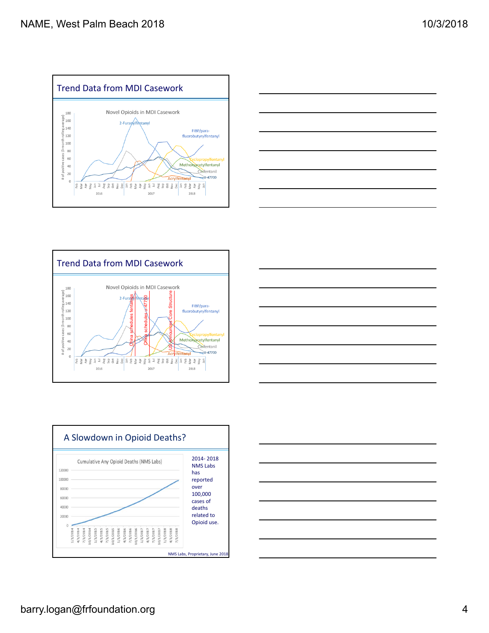









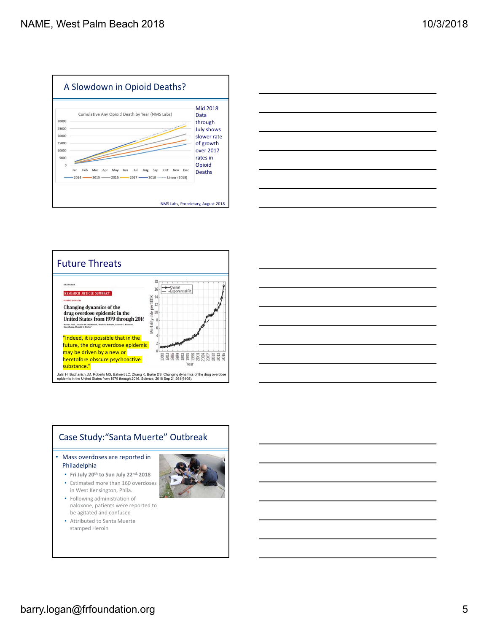

| <b>STATISTICS</b> |
|-------------------|
|                   |
|                   |
|                   |
|                   |
|                   |
|                   |
|                   |



## Case Study:"Santa Muerte" Outbreak

### • Mass overdoses are reported in Philadelphia

- **Fri July 20th to Sun July 22nd, 2018**
- Estimated more than 160 overdoses in West Kensington, Phila.
- Following administration of naloxone, patients were reported to be agitated and confused
- Attributed to Santa Muerte stamped Heroin

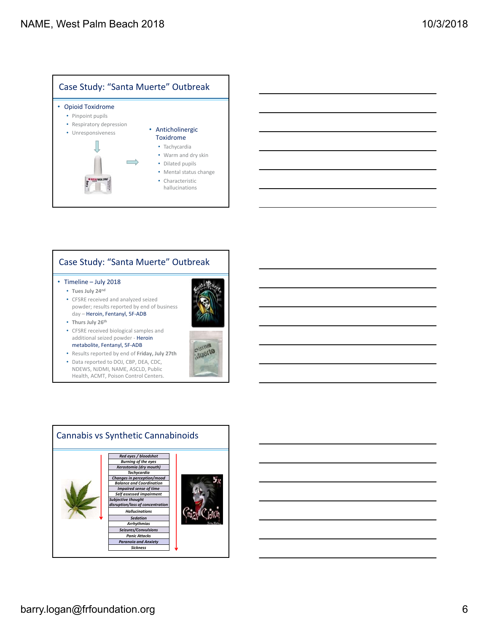

## Case Study: "Santa Muerte" Outbreak

#### • Timeline – July 2018

- **Tues July 24nd**
- CFSRE received and analyzed seized powder; results reported by end of business day – Heroin, Fentanyl, 5F‐ADB
- **Thurs July 26th**



parme Muerte

- Results reported by end of **Friday, July 27th** • Data reported to DOJ, CBP, DEA, CDC,
- NDEWS, NJDMI, NAME, ASCLD, Public Health, ACMT, Poison Control Centers.